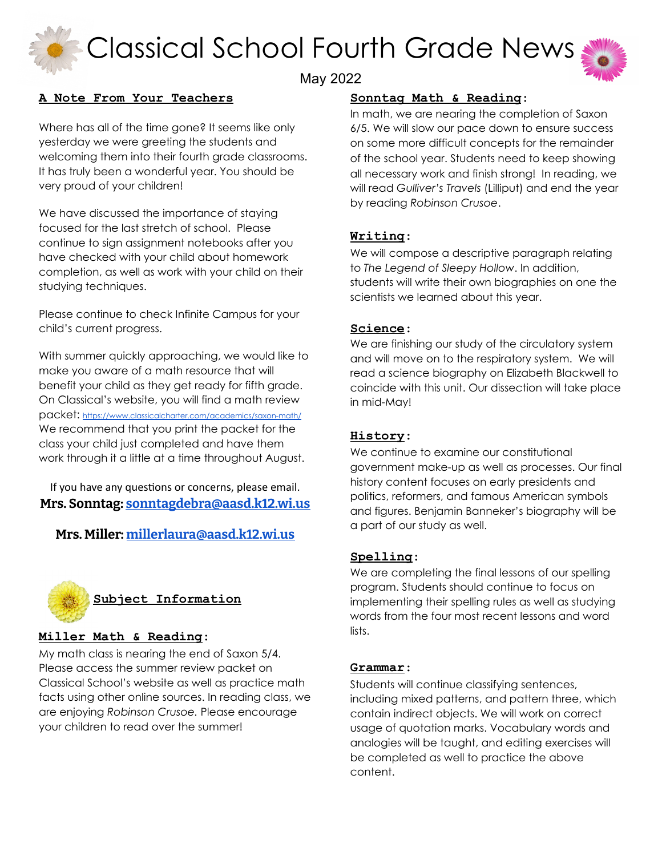Classical School Fourth Grade News



# May 2022

# **A Note From Your Teachers**

Where has all of the time gone? It seems like only yesterday we were greeting the students and welcoming them into their fourth grade classrooms. It has truly been a wonderful year. You should be very proud of your children!

We have discussed the importance of staying focused for the last stretch of school. Please continue to sign assignment notebooks after you have checked with your child about homework completion, as well as work with your child on their studying techniques.

Please continue to check Infinite Campus for your child's current progress.

With summer quickly approaching, we would like to make you aware of a math resource that will benefit your child as they get ready for fifth grade. On Classical's website, you will find a math review packet: <https://www.classicalcharter.com/academics/saxon-math/> We recommend that you print the packet for the class your child just completed and have them work through it a little at a time throughout August.

If you have any questions or concerns, please email. **Mrs. Sonntag: [sonntagdebra@aasd.k12.wi.us](mailto:sonntagdebra@aasd.k12.wi.us)**

**Mrs. Miller: [millerlaura@aasd.k12.wi.us](mailto:millerlaura@aasd.k12.wi.us)**



## **Miller Math & Reading**:

My math class is nearing the end of Saxon 5/4. Please access the summer review packet on Classical School's website as well as practice math facts using other online sources. In reading class, we are enjoying *Robinson Crusoe.* Please encourage your children to read over the summer!

# **Sonntag Math & Reading**:

In math, we are nearing the completion of Saxon 6/5. We will slow our pace down to ensure success on some more difficult concepts for the remainder of the school year. Students need to keep showing all necessary work and finish strong! In reading, we will read *Gulliver's Travels* (Lilliput) and end the year by reading *Robinson Crusoe*.

# **Writing**:

We will compose a descriptive paragraph relating to *The Legend of Sleepy Hollow*. In addition, students will write their own biographies on one the scientists we learned about this year.

# **Science**:

We are finishing our study of the circulatory system and will move on to the respiratory system. We will read a science biography on Elizabeth Blackwell to coincide with this unit. Our dissection will take place in mid-May!

## **History**:

We continue to examine our constitutional government make-up as well as processes. Our final history content focuses on early presidents and politics, reformers, and famous American symbols and figures. Benjamin Banneker's biography will be a part of our study as well.

## **Spelling**:

We are completing the final lessons of our spelling program. Students should continue to focus on implementing their spelling rules as well as studying words from the four most recent lessons and word lists.

## **Grammar**:

Students will continue classifying sentences, including mixed patterns, and pattern three, which contain indirect objects. We will work on correct usage of quotation marks. Vocabulary words and analogies will be taught, and editing exercises will be completed as well to practice the above content.